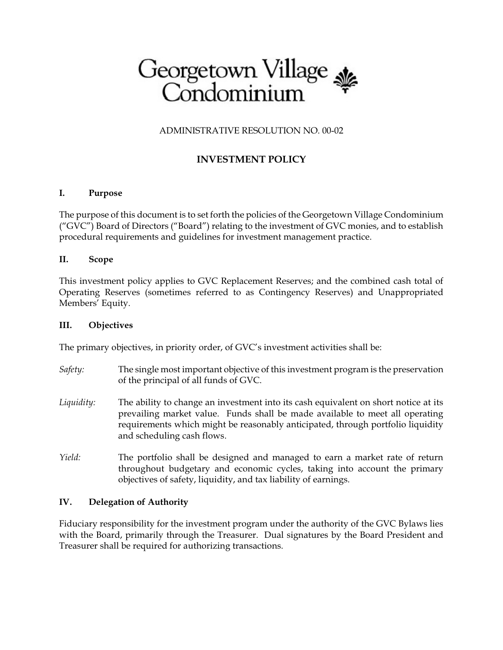# Georgetown Village

## ADMINISTRATIVE RESOLUTION NO. 00-02

# **INVESTMENT POLICY**

#### **I. Purpose**

The purpose of this document is to set forth the policies of the Georgetown Village Condominium ("GVC") Board of Directors ("Board") relating to the investment of GVC monies, and to establish procedural requirements and guidelines for investment management practice.

#### **II. Scope**

This investment policy applies to GVC Replacement Reserves; and the combined cash total of Operating Reserves (sometimes referred to as Contingency Reserves) and Unappropriated Members' Equity.

#### **III. Objectives**

The primary objectives, in priority order, of GVC's investment activities shall be:

- *Safety:* The single most important objective of this investment program is the preservation of the principal of all funds of GVC.
- *Liquidity:* The ability to change an investment into its cash equivalent on short notice at its prevailing market value. Funds shall be made available to meet all operating requirements which might be reasonably anticipated, through portfolio liquidity and scheduling cash flows.
- *Yield:* The portfolio shall be designed and managed to earn a market rate of return throughout budgetary and economic cycles, taking into account the primary objectives of safety, liquidity, and tax liability of earnings.

#### **IV. Delegation of Authority**

Fiduciary responsibility for the investment program under the authority of the GVC Bylaws lies with the Board, primarily through the Treasurer. Dual signatures by the Board President and Treasurer shall be required for authorizing transactions.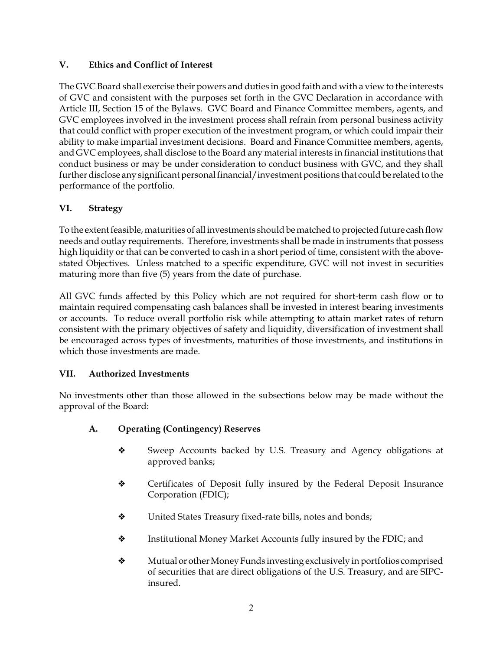### **V. Ethics and Conflict of Interest**

The GVC Board shall exercise their powers and duties in good faith and with a view to the interests of GVC and consistent with the purposes set forth in the GVC Declaration in accordance with Article III, Section 15 of the Bylaws. GVC Board and Finance Committee members, agents, and GVC employees involved in the investment process shall refrain from personal business activity that could conflict with proper execution of the investment program, or which could impair their ability to make impartial investment decisions. Board and Finance Committee members, agents, and GVC employees, shall disclose to the Board any material interests in financial institutions that conduct business or may be under consideration to conduct business with GVC, and they shall further disclose any significant personal financial/investment positions that could be related to the performance of the portfolio.

# **VI. Strategy**

To the extent feasible, maturities of all investments should be matched to projected future cash flow needs and outlay requirements. Therefore, investments shall be made in instruments that possess high liquidity or that can be converted to cash in a short period of time, consistent with the abovestated Objectives. Unless matched to a specific expenditure, GVC will not invest in securities maturing more than five (5) years from the date of purchase.

All GVC funds affected by this Policy which are not required for short-term cash flow or to maintain required compensating cash balances shall be invested in interest bearing investments or accounts. To reduce overall portfolio risk while attempting to attain market rates of return consistent with the primary objectives of safety and liquidity, diversification of investment shall be encouraged across types of investments, maturities of those investments, and institutions in which those investments are made.

# **VII. Authorized Investments**

No investments other than those allowed in the subsections below may be made without the approval of the Board:

# **A. Operating (Contingency) Reserves**

- Sweep Accounts backed by U.S. Treasury and Agency obligations at approved banks;
- $\triangle$  Certificates of Deposit fully insured by the Federal Deposit Insurance Corporation (FDIC);
- United States Treasury fixed-rate bills, notes and bonds;
- $\bullet$  Institutional Money Market Accounts fully insured by the FDIC; and
- Mutual or other Money Funds investing exclusively in portfolios comprised of securities that are direct obligations of the U.S. Treasury, and are SIPCinsured.